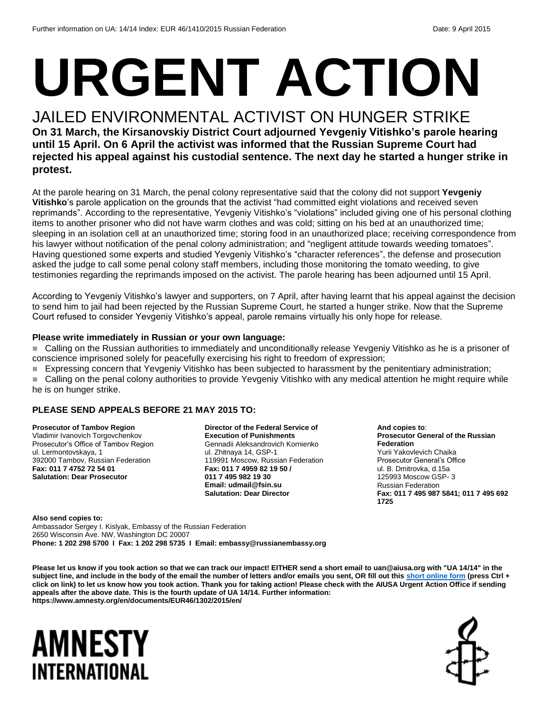# **URGENT ACTION**

# JAILED ENVIRONMENTAL ACTIVIST ON HUNGER STRIKE

#### **On 31 March, the Kirsanovskiy District Court adjourned Yevgeniy Vitishko's parole hearing until 15 April. On 6 April the activist was informed that the Russian Supreme Court had rejected his appeal against his custodial sentence. The next day he started a hunger strike in protest.**

At the parole hearing on 31 March, the penal colony representative said that the colony did not support **Yevgeniy Vitishko**'s parole application on the grounds that the activist "had committed eight violations and received seven reprimands". According to the representative, Yevgeniy Vitishko's "violations" included giving one of his personal clothing items to another prisoner who did not have warm clothes and was cold; sitting on his bed at an unauthorized time; sleeping in an isolation cell at an unauthorized time; storing food in an unauthorized place; receiving correspondence from his lawyer without notification of the penal colony administration; and "negligent attitude towards weeding tomatoes". Having questioned some experts and studied Yevgeniy Vitishko's "character references", the defense and prosecution asked the judge to call some penal colony staff members, including those monitoring the tomato weeding, to give testimonies regarding the reprimands imposed on the activist. The parole hearing has been adjourned until 15 April.

According to Yevgeniy Vitishko's lawyer and supporters, on 7 April, after having learnt that his appeal against the decision to send him to jail had been rejected by the Russian Supreme Court, he started a hunger strike. Now that the Supreme Court refused to consider Yevgeniy Vitishko's appeal, parole remains virtually his only hope for release.

#### **Please write immediately in Russian or your own language:**

 Calling on the Russian authorities to immediately and unconditionally release Yevgeniy Vitishko as he is a prisoner of conscience imprisoned solely for peacefully exercising his right to freedom of expression;

**Expressing concern that Yevgeniy Vitishko has been subjected to harassment by the penitentiary administration;** 

 Calling on the penal colony authorities to provide Yevgeniy Vitishko with any medical attention he might require while he is on hunger strike.

#### **PLEASE SEND APPEALS BEFORE 21 MAY 2015 TO:**

**Prosecutor of Tambov Region** Vladimir Ivanovich Torgovchenkov Prosecutor's Office of Tambov Region ul. Lermontovskaya, 1 392000 Tambov, Russian Federation **Fax: 011 7 4752 72 54 01 Salutation: Dear Prosecutor**

**Director of the Federal Service of Execution of Punishments**  Gennadii Aleksandrovich Kornienko ul. Zhitnaya 14, GSP-1 119991 Moscow, Russian Federation **Fax: 011 7 4959 82 19 50 / 011 7 495 982 19 30 Email: udmail@fsin.su Salutation: Dear Director** 

**And copies to**: **Prosecutor General of the Russian Federation** Yurii Yakovlevich Chaika Prosecutor General's Office ul. B. Dmitrovka, d.15a 125993 Moscow GSP- 3 Russian Federation **Fax: 011 7 495 987 5841; 011 7 495 692 1725**

**Also send copies to:** Ambassador Sergey I. Kislyak, Embassy of the Russian Federation 2650 Wisconsin Ave. NW, Washington DC 20007 **Phone: 1 202 298 5700 I Fax: 1 202 298 5735 I Email: embassy@russianembassy.org**

**Please let us know if you took action so that we can track our impact! EITHER send a short email to uan@aiusa.org with "UA 14/14" in the subject line, and include in the body of the email the number of letters and/or emails you sent, OR fill out this short [online form](https://www.surveymonkey.com/s/9C7ZCLM) (press Ctrl + click on link) to let us know how you took action. Thank you for taking action! Please check with the AIUSA Urgent Action Office if sending appeals after the above date. This is the fourth update of UA 14/14. Further information: https://www.amnesty.org/en/documents/EUR46/1302/2015/en/**